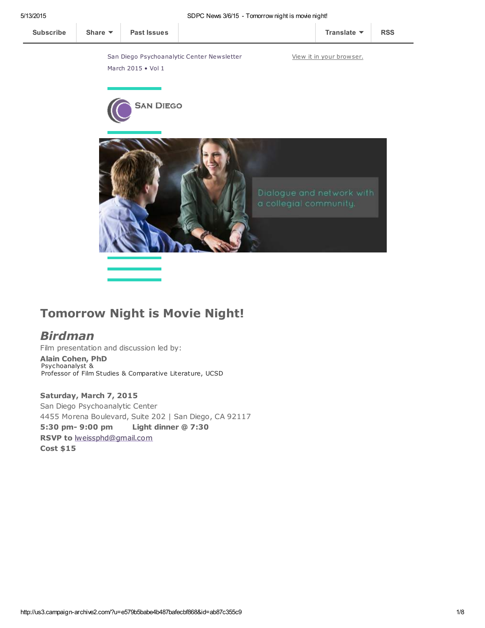

# Tomorrow Night is Movie Night!

# Birdman

Film presentation and discussion led by:

Alain Cohen, PhD Psychoanalyst & Professor of Film Studies & Comparative Literature, UCSD

Saturday, March 7, 2015 San Diego Psychoanalytic Center 4455 Morena Boulevard, Suite 202 | San Diego, CA 92117 5:30 pm- 9:00 pm Light dinner @ 7:30 RSVP to [lweissphd@gmail.com](mailto:lweissphd@gmail.com) Cost \$15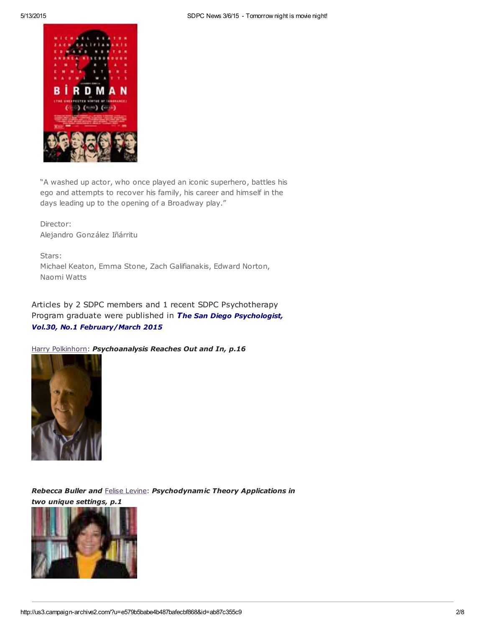

"A washed up actor, who once played an iconic superhero, battles his ego and attempts to recover his family, his career and himself in the days leading up to the opening of a Broadway play."

Director: Alejandro González Iñárritu

Stars: Michael Keaton, Emma Stone, Zach Galifianakis, Edward Norton, Naomi Watts

Articles by 2 SDPC members and 1 recent SDPC Psychotherapy Program graduate were published in The San Diego Psychologist, Vol.30, No.1 February/March 2015

Harry [Polkinhorn](http://www.sdpsychoanalyticcenter.org/members/profiles/65#profile-main): Psychoanalysis Reaches Out and In, p.16



Rebecca Buller and Felise [Levine](http://www.sdpsychoanalyticcenter.org/members/profiles/82#profile-main): Psychodynamic Theory Applications in two unique settings, p.1

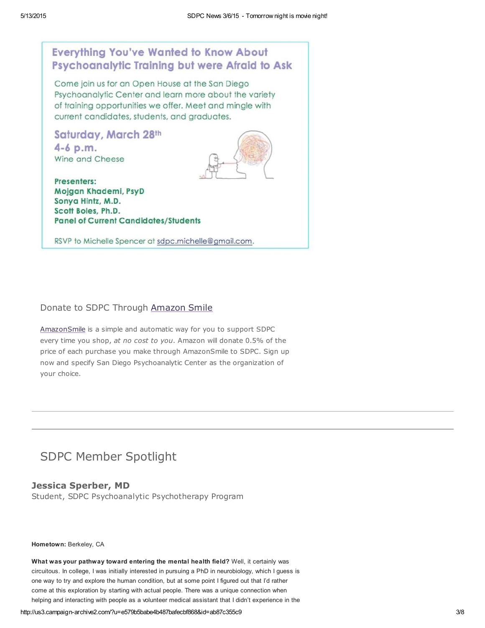

# Donate to SDPC Through [Amazon](http://www.sdpsychoanalyticcenter.org/node/395#overlay-context=node/395) Smile

[AmazonSmile](http://smile.amazon.com/about) is a simple and automatic way for you to support SDPC every time you shop, at no cost to you. Amazon will donate 0.5% of the price of each purchase you make through AmazonSmile to SDPC. Sign up now and specify San Diego Psychoanalytic Center as the organization of your choice.

# SDPC Member Spotlight

## Jessica Sperber, MD

Student, SDPC Psychoanalytic Psychotherapy Program

## Hometown: Berkeley, CA

What was your pathway toward entering the mental health field? Well, it certainly was circuitous. In college, I was initially interested in pursuing a PhD in neurobiology, which I guess is one way to try and explore the human condition, but at some point I figured out that I'd rather come at this exploration by starting with actual people. There was a unique connection when helping and interacting with people as a volunteer medical assistant that I didn't experience in the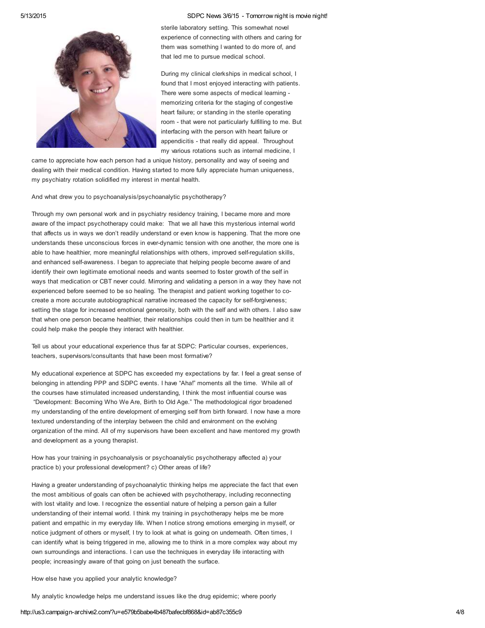

sterile laboratory setting. This somewhat novel experience of connecting with others and caring for them was something I wanted to do more of, and that led me to pursue medical school.

During my clinical clerkships in medical school, I found that I most enjoyed interacting with patients. There were some aspects of medical learning memorizing criteria for the staging of congestive heart failure; or standing in the sterile operating room - that were not particularly fulfilling to me. But interfacing with the person with heart failure or appendicitis - that really did appeal. Throughout my various rotations such as internal medicine, I

came to appreciate how each person had a unique history, personality and way of seeing and dealing with their medical condition. Having started to more fully appreciate human uniqueness, my psychiatry rotation solidified my interest in mental health.

### And what drew you to psychoanalysis/psychoanalytic psychotherapy?

Through my own personal work and in psychiatry residency training, I became more and more aware of the impact psychotherapy could make: That we all have this mysterious internal world that affects us in ways we don't readily understand or even know is happening. That the more one understands these unconscious forces in ever-dynamic tension with one another, the more one is able to have healthier, more meaningful relationships with others, improved self-regulation skills, and enhanced self-awareness. I began to appreciate that helping people become aware of and identify their own legitimate emotional needs and wants seemed to foster growth of the self in ways that medication or CBT never could. Mirroring and validating a person in a way they have not experienced before seemed to be so healing. The therapist and patient working together to cocreate a more accurate autobiographical narrative increased the capacity for self-forgiveness; setting the stage for increased emotional generosity, both with the self and with others. I also saw that when one person became healthier, their relationships could then in turn be healthier and it could help make the people they interact with healthier.

Tell us about your educational experience thus far at SDPC: Particular courses, experiences, teachers, supervisors/consultants that have been most formative?

My educational experience at SDPC has exceeded my expectations by far. I feel a great sense of belonging in attending PPP and SDPC events. I have "Aha!" moments all the time. While all of the courses have stimulated increased understanding, I think the most influential course was "Development: Becoming Who We Are, Birth to Old Age." The methodological rigor broadened my understanding of the entire development of emerging self from birth forward. I now have a more textured understanding of the interplay between the child and environment on the evolving organization of the mind. All of my supervisors have been excellent and have mentored my growth and development as a young therapist.

How has your training in psychoanalysis or psychoanalytic psychotherapy affected a) your practice b) your professional development? c) Other areas of life?

Having a greater understanding of psychoanalytic thinking helps me appreciate the fact that even the most ambitious of goals can often be achieved with psychotherapy, including reconnecting with lost vitality and love. I recognize the essential nature of helping a person gain a fuller understanding of their internal world. I think my training in psychotherapy helps me be more patient and empathic in my everyday life. When I notice strong emotions emerging in myself, or notice judgment of others or myself, I try to look at what is going on underneath. Often times, I can identify what is being triggered in me, allowing me to think in a more complex way about my own surroundings and interactions. I can use the techniques in everyday life interacting with people; increasingly aware of that going on just beneath the surface.

How else have you applied your analytic knowledge?

My analytic knowledge helps me understand issues like the drug epidemic; where poorly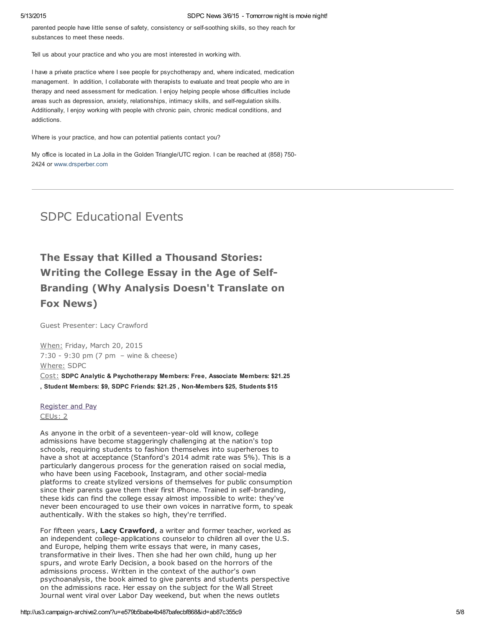parented people have little sense of safety, consistency or self-soothing skills, so they reach for substances to meet these needs.

Tell us about your practice and who you are most interested in working with.

I have a private practice where I see people for psychotherapy and, where indicated, medication management. In addition, I collaborate with therapists to evaluate and treat people who are in therapy and need assessment for medication. I enjoy helping people whose difficulties include areas such as depression, anxiety, relationships, intimacy skills, and self-regulation skills. Additionally, I enjoy working with people with chronic pain, chronic medical conditions, and addictions.

Where is your practice, and how can potential patients contact you?

My office is located in La Jolla in the Golden Triangle/UTC region. I can be reached at (858) 750- 2424 or [www.drsperber.com](http://www.drsperber.com/)

# SDPC Educational Events

# The Essay that Killed a Thousand Stories: Writing the College Essay in the Age of Self-Branding (Why Analysis Doesn't Translate on Fox News)

Guest Presenter: Lacy Crawford

When: Friday, March 20, 2015 7:30 - 9:30 pm (7 pm – wine & cheese) Where: SDPC

Cost: SDPC Analytic & Psychotherapy Members: Free, Associate Members: \$21.25 , Student Members: \$9, SDPC Friends: \$21.25 , Non-Members \$25, Students \$15

## [Register](http://www.sdpsychoanalyticcenter.org/register-and-pay-online) and Pay CEUs: 2

As anyone in the orbit of a seventeen-year-old will know, college admissions have become staggeringly challenging at the nation's top schools, requiring students to fashion themselves into superheroes to have a shot at acceptance (Stanford's 2014 admit rate was 5%). This is a particularly dangerous process for the generation raised on social media, who have been using Facebook, Instagram, and other social-media platforms to create stylized versions of themselves for public consumption since their parents gave them their first iPhone. Trained in self-branding, these kids can find the college essay almost impossible to write: they've never been encouraged to use their own voices in narrative form, to speak authentically. With the stakes so high, they're terrified.

For fifteen years, Lacy Crawford, a writer and former teacher, worked as an independent college-applications counselor to children all over the U.S. and Europe, helping them write essays that were, in many cases, transformative in their lives. Then she had her own child, hung up her spurs, and wrote Early Decision, a book based on the horrors of the admissions process. Written in the context of the author's own psychoanalysis, the book aimed to give parents and students perspective on the admissions race. Her essay on the subject for the Wall Street Journal went viral over Labor Day weekend, but when the news outlets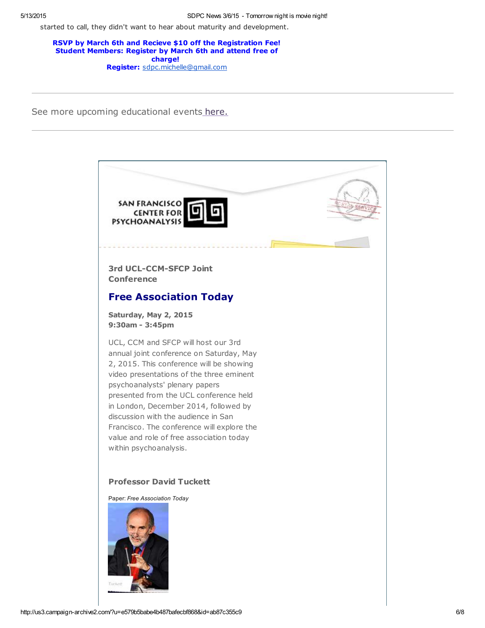started to call, they didn't want to hear about maturity and development.

RSVP by March 6th and Recieve \$10 off the Registration Fee! Student Members: Register by March 6th and attend free of charge! Register: [sdpc.michelle@gmail.com](mailto:sdpc.michelle@gmail.com)

See more upcoming educational events [here.](http://www.sdpsychoanalyticcenter.org/community-connections/upcoming-events)

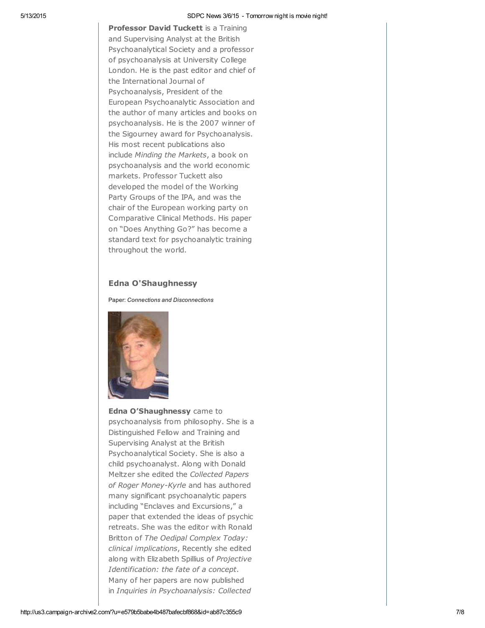Professor David Tuckett is a Training and Supervising Analyst at the British Psychoanalytical Society and a professor of psychoanalysis at University College London. He is the past editor and chief of the International Journal of Psychoanalysis, President of the European Psychoanalytic Association and the author of many articles and books on psychoanalysis. He is the 2007 winner of the Sigourney award for Psychoanalysis. His most recent publications also include Minding the Markets, a book on psychoanalysis and the world economic markets. Professor Tuckett also developed the model of the Working Party Groups of the IPA, and was the chair of the European working party on Comparative Clinical Methods. His paper on "Does Anything Go?" has become a standard text for psychoanalytic training throughout the world.

## Edna O'Shaughnessy

Paper: Connections and Disconnections



Edna O'Shaughnessy came to psychoanalysis from philosophy. She is a Distinguished Fellow and Training and Supervising Analyst at the British Psychoanalytical Society. She is also a child psychoanalyst. Along with Donald Meltzer she edited the Collected Papers of Roger Money-Kyrle and has authored many significant psychoanalytic papers including "Enclaves and Excursions," a paper that extended the ideas of psychic retreats. She was the editor with Ronald Britton of The Oedipal Complex Today: clinical implications, Recently she edited along with Elizabeth Spillius of Projective Identification: the fate of a concept. Many of her papers are now published in Inquiries in Psychoanalysis: Collected